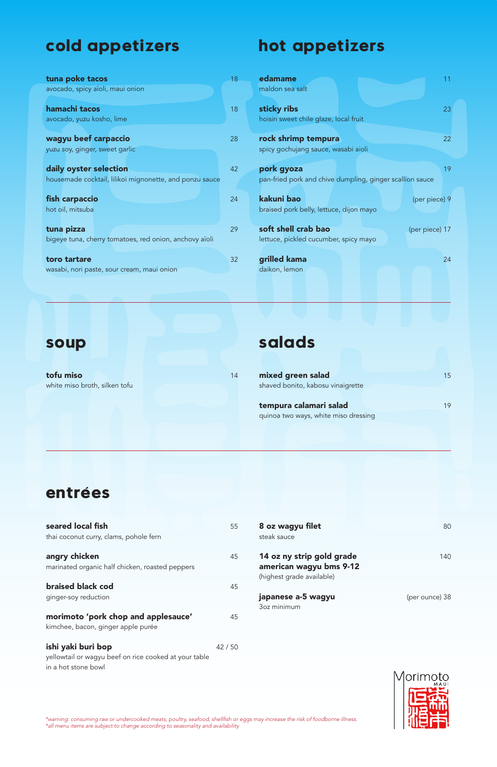marinated organic half chicken, roasted peppers

### **braised black cod** 45

ginger-soy reduction

#### morimoto 'pork chop and applesauce' 45

kimchee, bacon, ginger apple purée

#### ishi yaki buri bop 42 / 50

yellowtail or wagyu beef on rice cooked at your table in a hot stone bowl

# **cold appetizers**

| tuna poke tacos                                                           | 18 |
|---------------------------------------------------------------------------|----|
| avocado, spicy aïoli, maui onion                                          |    |
| hamachi tacos<br>avocado, yuzu kosho, lime                                | 18 |
| wagyu beef carpaccio<br>yuzu soy, ginger, sweet garlic                    | 28 |
| daily oyster selection                                                    | 42 |
| housemade cocktail, lilikoi mignonette, and ponzu sauce<br>fish carpaccio | 24 |
| hot oil, mitsuba                                                          |    |
| tuna pizza<br>bigeye tuna, cherry tomatoes, red onion, anchovy aïoli      | 29 |
| toro tartare<br>wasabi, nori paste, sour cream, maui onion                | 32 |

tofu miso and the state of the state of the state of the state of the state of the state of the state of the state of the state of the state of the state of the state of the state of the state of the state of the state of white miso broth, silken tofu

| seared local fish<br>thai coconut curry, clams, pohole fern | 55 | 8 oz wagyu filet<br>steak sauce                                                                                                                     | 80  |
|-------------------------------------------------------------|----|-----------------------------------------------------------------------------------------------------------------------------------------------------|-----|
| angry chicken                                               | 45 | 14 oz ny strip gold grade<br><u>is a series de la componenta de la componenta de la componenta de la componenta de la componenta de la componen</u> | 140 |

# **hot appetizers**

| edamame                                                      | 11             |
|--------------------------------------------------------------|----------------|
| maldon sea salt                                              |                |
| sticky ribs                                                  | 23             |
| hoisin sweet chile glaze, local fruit                        |                |
| rock shrimp tempura                                          | 22             |
| spicy gochujang sauce, wasabi aioli                          |                |
| pork gyoza                                                   | 19             |
| pan-fried pork and chive dumpling, ginger scallion sauce     |                |
| kakuni bao<br>braised pork belly, lettuce, dijon mayo        | (per piece) 9  |
| soft shell crab bao<br>lettuce, pickled cucumber, spicy mayo | (per piece) 17 |
| grilled kama<br>daikon, lemon                                | 24             |

### **soup**

# **salads**

| mixed green salad                 | 15 <sup>1</sup> |
|-----------------------------------|-----------------|
| shaved bonito, kabosu vinaigrette |                 |
| tempura calamari salad            | 19              |

quinoa two ways, white miso dressing

#### american wagyu bms 9-12

(highest grade available)

### japanese a-5 wagyu (per ounce) 38

3oz minimum



### **entrées**

\*warning: consuming raw or undercooked meats, poultry, seafood, shellfish or eggs may increase the risk of foodborne illness. \*all menu items are subject to change according to seasonality and availability